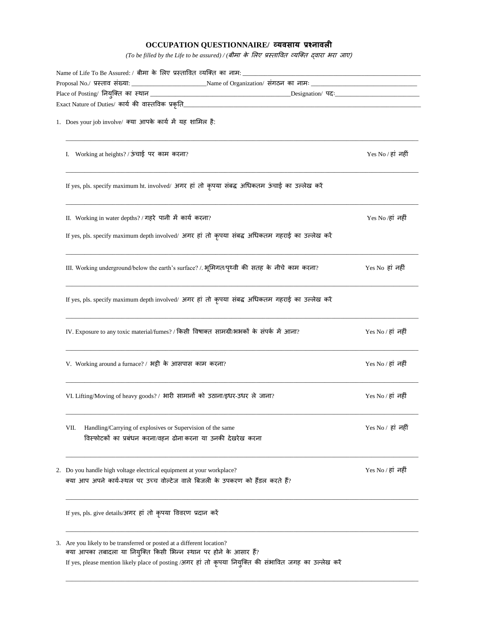## **OCCUPATION QUESTIONNAIRE/ व्यवसाय प्रश्नावली**

*(To be filled by the Life to be assured) / (*बीमा के लिए प्रस्तावित व्यक्तत द्िारा भरा जाए)

| Proposal No./ प्रस्ताव संख्या: ___________________________________Name of Organization/ संगठन का नामः _________________________________ |                                                                                                                                                                                                                                                                                                                                                                                                                                                                                                                                                                                                                                                                                                                                                                                                                                                                                                                                                                                      |  |  |  |
|-----------------------------------------------------------------------------------------------------------------------------------------|--------------------------------------------------------------------------------------------------------------------------------------------------------------------------------------------------------------------------------------------------------------------------------------------------------------------------------------------------------------------------------------------------------------------------------------------------------------------------------------------------------------------------------------------------------------------------------------------------------------------------------------------------------------------------------------------------------------------------------------------------------------------------------------------------------------------------------------------------------------------------------------------------------------------------------------------------------------------------------------|--|--|--|
|                                                                                                                                         |                                                                                                                                                                                                                                                                                                                                                                                                                                                                                                                                                                                                                                                                                                                                                                                                                                                                                                                                                                                      |  |  |  |
|                                                                                                                                         |                                                                                                                                                                                                                                                                                                                                                                                                                                                                                                                                                                                                                                                                                                                                                                                                                                                                                                                                                                                      |  |  |  |
| 1. Does your job involve/ क्या आपके कार्य में यह शामिल है:                                                                              |                                                                                                                                                                                                                                                                                                                                                                                                                                                                                                                                                                                                                                                                                                                                                                                                                                                                                                                                                                                      |  |  |  |
|                                                                                                                                         | Yes No / हां नहीं                                                                                                                                                                                                                                                                                                                                                                                                                                                                                                                                                                                                                                                                                                                                                                                                                                                                                                                                                                    |  |  |  |
|                                                                                                                                         |                                                                                                                                                                                                                                                                                                                                                                                                                                                                                                                                                                                                                                                                                                                                                                                                                                                                                                                                                                                      |  |  |  |
|                                                                                                                                         | Yes No ⁄हां नहीं                                                                                                                                                                                                                                                                                                                                                                                                                                                                                                                                                                                                                                                                                                                                                                                                                                                                                                                                                                     |  |  |  |
|                                                                                                                                         |                                                                                                                                                                                                                                                                                                                                                                                                                                                                                                                                                                                                                                                                                                                                                                                                                                                                                                                                                                                      |  |  |  |
|                                                                                                                                         | Yes No हां नहीं                                                                                                                                                                                                                                                                                                                                                                                                                                                                                                                                                                                                                                                                                                                                                                                                                                                                                                                                                                      |  |  |  |
|                                                                                                                                         |                                                                                                                                                                                                                                                                                                                                                                                                                                                                                                                                                                                                                                                                                                                                                                                                                                                                                                                                                                                      |  |  |  |
|                                                                                                                                         | Yes No / हां नहीं                                                                                                                                                                                                                                                                                                                                                                                                                                                                                                                                                                                                                                                                                                                                                                                                                                                                                                                                                                    |  |  |  |
|                                                                                                                                         | Yes No / हां नहीं                                                                                                                                                                                                                                                                                                                                                                                                                                                                                                                                                                                                                                                                                                                                                                                                                                                                                                                                                                    |  |  |  |
|                                                                                                                                         | Yes No / हां  नहीं                                                                                                                                                                                                                                                                                                                                                                                                                                                                                                                                                                                                                                                                                                                                                                                                                                                                                                                                                                   |  |  |  |
| Handling/Carrying of explosives or Supervision of the same<br>विस्फोटकों का प्रबंधन करना/वहन ढोना करना या उनकी देखरेख करना              | Yes No / हां नहीं                                                                                                                                                                                                                                                                                                                                                                                                                                                                                                                                                                                                                                                                                                                                                                                                                                                                                                                                                                    |  |  |  |
|                                                                                                                                         | Yes No / हां नहीं                                                                                                                                                                                                                                                                                                                                                                                                                                                                                                                                                                                                                                                                                                                                                                                                                                                                                                                                                                    |  |  |  |
| If yes, pls. give details/अगर हां तो कृपया विवरण प्रदान करें                                                                            |                                                                                                                                                                                                                                                                                                                                                                                                                                                                                                                                                                                                                                                                                                                                                                                                                                                                                                                                                                                      |  |  |  |
| VII.                                                                                                                                    | Exact Nature of Duties/ कार्य की वास्तविक प्रकृति___________<br>I. Working at heights? / ऊंचाई पर काम करना?<br>If yes, pls. specify maximum ht. involved/ अगर हां तो कृपया संबद्ध अधिकतम ऊंचाई का उल्लेख करें<br>II. Working in water depths? / गहरे पानी में कार्य करना?<br>If yes, pls. specify maximum depth involved/ अगर हां तो कृपया संबद्ध अधिकतम गहराई का उल्लेख करें<br>III. Working underground/below the earth's surface? /. भूमिगत/पृथ्वी की सतह के नीचे काम करना?<br>If yes, pls. specify maximum depth involved/ अगर हां तो कृपया संबद्ध अधिकतम गहराई का उल्लेख करें<br>IV. Exposure to any toxic material/fumes? / किसी विषाक्त सामग्री/भभकों के संपर्क में आना?<br>V. Working around a furnace? / भट्टी के आसपास काम करना?<br>VI. Lifting/Moving of heavy goods? / भारी सामानों को उठाना/इधर-उधर ले जाना?<br>2. Do you handle high voltage electrical equipment at your workplace?<br>क्या आप अपने कार्य-स्थल पर उच्च वोल्टेज वाले बिजली के उपकरण को हैंडल करते हैं? |  |  |  |

 $\_$  , and the set of the set of the set of the set of the set of the set of the set of the set of the set of the set of the set of the set of the set of the set of the set of the set of the set of the set of the set of th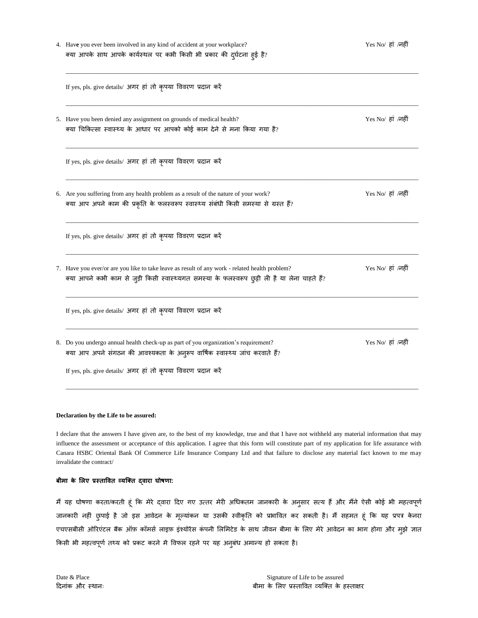| 4. Have you ever been involved in any kind of accident at your workplace?<br>क्या आपके साथ आपके कार्यस्थल पर कभी किसी भी प्रकार की दुर्घटना हुई है?                                                                                 | Yes No/ हां /नहीं |
|-------------------------------------------------------------------------------------------------------------------------------------------------------------------------------------------------------------------------------------|-------------------|
| If yes, pls. give details/ अगर हां तो कृपया विवरण प्रदान करें                                                                                                                                                                       |                   |
| 5. Have you been denied any assignment on grounds of medical health?<br>क्या चिकित्सा स्वास्थ्य के आधार पर आपको कोई काम देने से मना किया गया है?                                                                                    | Yes No/ हां /नहीं |
| If yes, pls. give details/ अगर हां तो कृपया विवरण प्रदान करें                                                                                                                                                                       |                   |
| 6. Are you suffering from any health problem as a result of the nature of your work?<br>क्या आप अपने काम की प्रकृति के फलस्वरूप स्वास्थ्य संबंधी किसी समस्या से ग्रस्त हैं?                                                         | Yes No/ हां /नहीं |
| If yes, pls. give details/ अगर हां तो कृपया विवरण प्रदान करें                                                                                                                                                                       |                   |
| 7. Have you ever/or are you like to take leave as result of any work - related health problem?<br>क्या आपने कभी काम से जुड़ी किसी स्वास्थ्यगत समस्या के फलस्वरूप छुट्टी ली है या लेना चाहते हैं?                                    | Yes No/ हां /नहीं |
| If yes, pls. give details/ अगर हां तो कृपया विवरण प्रदान करें                                                                                                                                                                       |                   |
| 8. Do you undergo annual health check-up as part of you organization's requirement?<br>क्या आप अपने संगठन की आवश्यकता के अनुरूप वार्षिक स्वास्थ्य जांच करवाते हैं?<br>If yes, pls. give details/ अगर हां तो कृपया विवरण प्रदान करें | Yes No/ हां /नहीं |
|                                                                                                                                                                                                                                     |                   |

## **Declaration by the Life to be assured:**

I declare that the answers I have given are, to the best of my knowledge, true and that I have not withheld any material information that may influence the assessment or acceptance of this application. I agree that this form will constitute part of my application for life assurance with Canara HSBC Oriental Bank Of Commerce Life Insurance Company Ltd and that failure to disclose any material fact known to me may invalidate the contract/

## **बीमा के ललए प्रस्ताववत व्यक्तत द्वारा घोषणा:**

मैं यह घोषणा करता/करती हूं कि मेरे द्वारा दिए गए उत्तर मेरी अधिकतम जानकारी के अनुसार सत्य हैं और मैंने ऐसी कोई भी महत्वपूर्ण जानकारी नहीं छुपाई है जो इस आवेदन के मूल्यांकन या उसकी स्वीकृति को प्रभावित कर सकती है। मैं सहमत हूं कि यह प्रपत्र केनरा एचएसबीसी ओरिएंटल बैंक ऑफ़ कॉमर्स लाइफ़ इंश्योरेंस कंपनी लिमिटेड के साथ जीवन बीमा के लिए मेरे आवेदन का भाग होगा और मुझे जात किसी भी महत्वपूर्ण तथ्य को प्रकट करने में विफल रहने पर यह अनुबंध अमान्य हो सकता है।